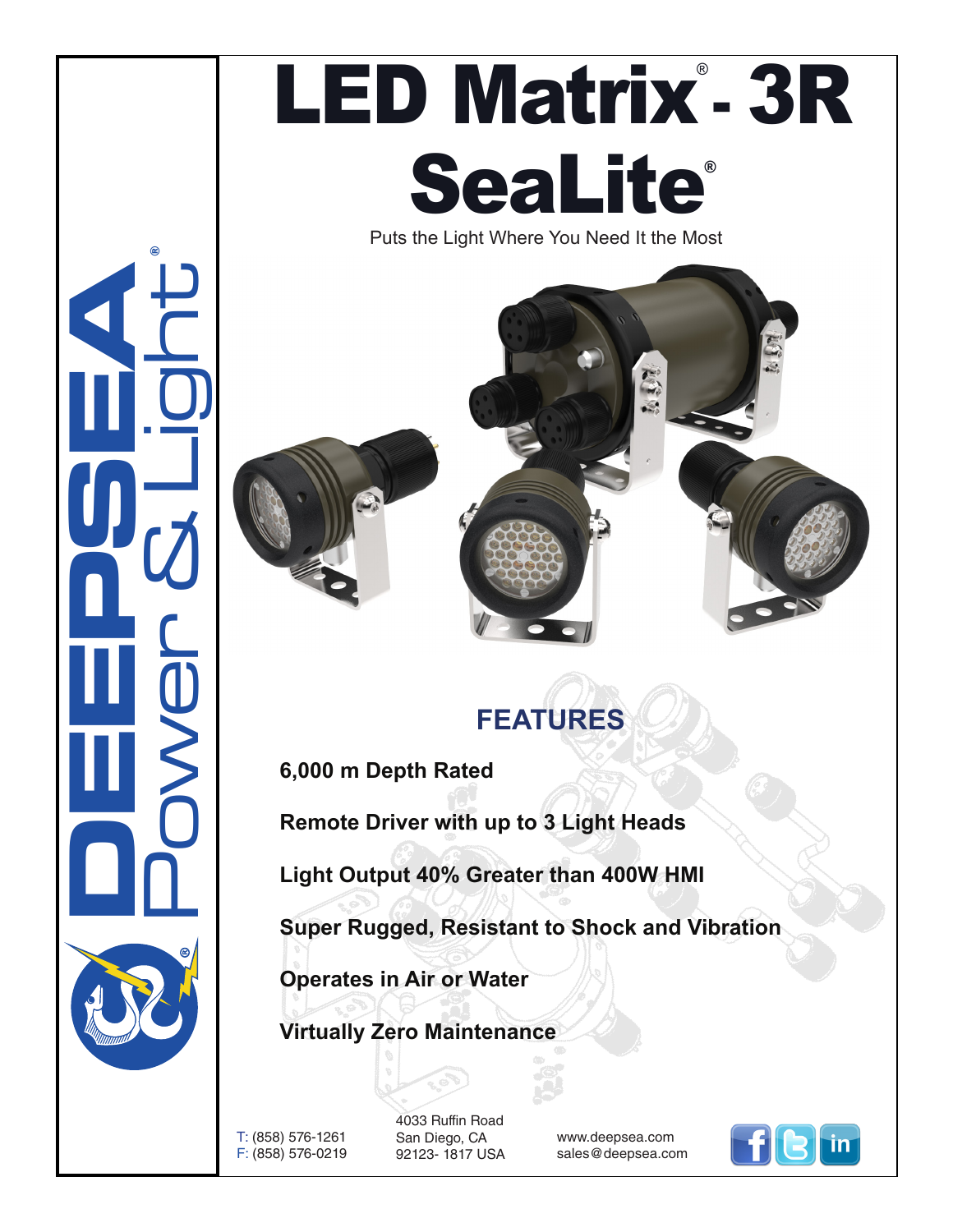

## LED Matrix<sup>®</sup> 3R **SeaLite®**

Puts the Light Where You Need It the Most





## **FEATURES**

**6,000 m Depth Rated** 

**Remote Driver with up to 3 Light Heads**

**Light Output 40% Greater than 400W HMI**

**Super Rugged, Resistant to Shock and Vibration**

**Operates in Air or Water**

**Virtually Zero Maintenance**

T: (858) 576-1261 F: (858) 576-0219

4033 Ruffin Road San Diego, CA 92123- 1817 USA

www.deepsea.com sales@deepsea.com